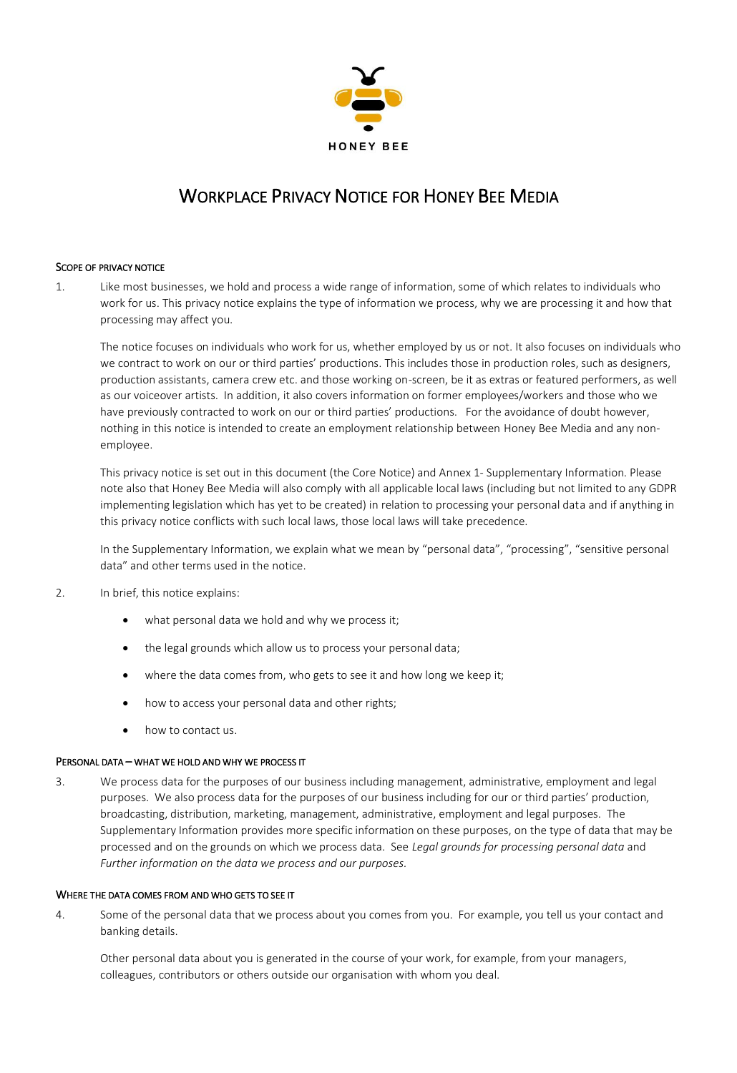

# WORKPLACE PRIVACY NOTICE FOR HONEY BEE MEDIA

# SCOPE OF PRIVACY NOTICE

1. Like most businesses, we hold and process a wide range of information, some of which relates to individuals who work for us. This privacy notice explains the type of information we process, why we are processing it and how that processing may affect you.

The notice focuses on individuals who work for us, whether employed by us or not. It also focuses on individuals who we contract to work on our or third parties' productions. This includes those in production roles, such as designers, production assistants, camera crew etc. and those working on-screen, be it as extras or featured performers, as well as our voiceover artists. In addition, it also covers information on former employees/workers and those who we have previously contracted to work on our or third parties' productions. For the avoidance of doubt however, nothing in this notice is intended to create an employment relationship between Honey Bee Media and any nonemployee.

This privacy notice is set out in this document (the Core Notice) and Annex 1- Supplementary Information. Please note also that Honey Bee Media will also comply with all applicable local laws (including but not limited to any GDPR implementing legislation which has yet to be created) in relation to processing your personal data and if anything in this privacy notice conflicts with such local laws, those local laws will take precedence.

In the Supplementary Information, we explain what we mean by "personal data", "processing", "sensitive personal data" and other terms used in the notice.

- 2. In brief, this notice explains:
	- what personal data we hold and why we process it;
	- the legal grounds which allow us to process your personal data;
	- where the data comes from, who gets to see it and how long we keep it;
	- how to access your personal data and other rights;
	- how to contact us.

## PERSONAL DATA – WHAT WE HOLD AND WHY WE PROCESS IT

3. We process data for the purposes of our business including management, administrative, employment and legal purposes. We also process data for the purposes of our business including for our or third parties' production, broadcasting, distribution, marketing, management, administrative, employment and legal purposes. The Supplementary Information provides more specific information on these purposes, on the type of data that may be processed and on the grounds on which we process data. See *Legal grounds for processing personal data* and *Further information on the data we process and our purposes.*

## WHERE THE DATA COMES FROM AND WHO GETS TO SEE IT

4. Some of the personal data that we process about you comes from you. For example, you tell us your contact and banking details.

Other personal data about you is generated in the course of your work, for example, from your managers, colleagues, contributors or others outside our organisation with whom you deal.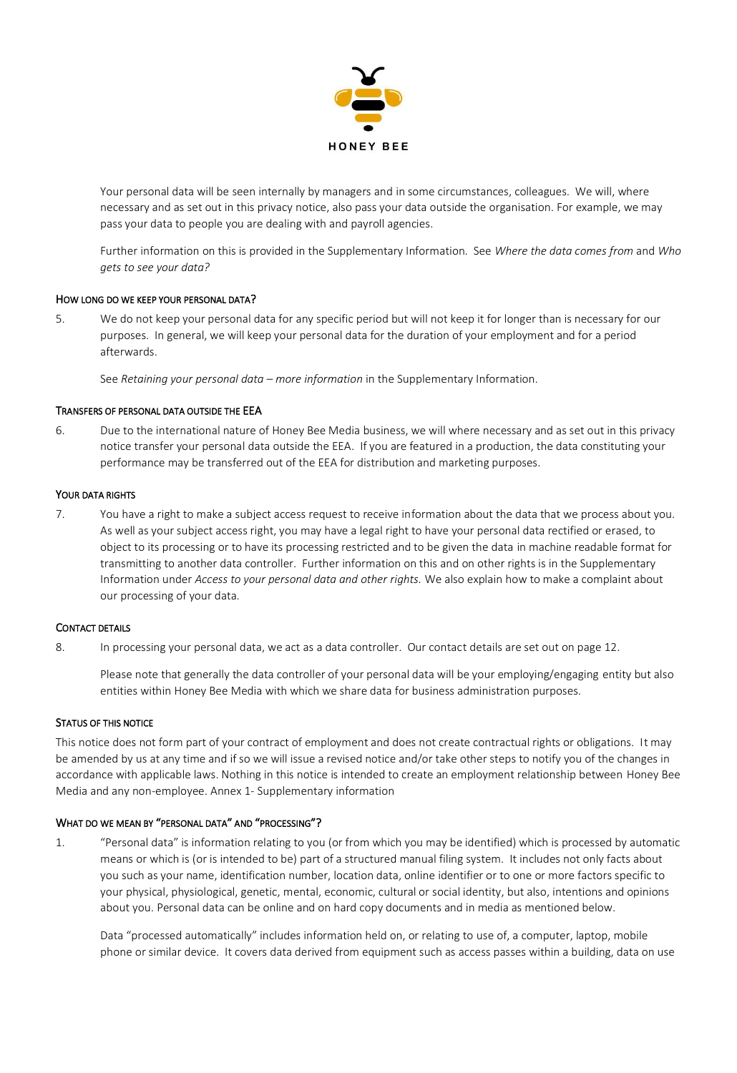

Your personal data will be seen internally by managers and in some circumstances, colleagues. We will, where necessary and as set out in this privacy notice, also pass your data outside the organisation. For example, we may pass your data to people you are dealing with and payroll agencies.

Further information on this is provided in the Supplementary Information. See *Where the data comes from* and *Who gets to see your data?* 

# HOW LONG DO WE KEEP YOUR PERSONAL DATA?

5. We do not keep your personal data for any specific period but will not keep it for longer than is necessary for our purposes. In general, we will keep your personal data for the duration of your employment and for a period afterwards.

See *Retaining your personal data – more information* in the Supplementary Information.

## TRANSFERS OF PERSONAL DATA OUTSIDE THE EEA

6. Due to the international nature of Honey Bee Media business, we will where necessary and as set out in this privacy notice transfer your personal data outside the EEA. If you are featured in a production, the data constituting your performance may be transferred out of the EEA for distribution and marketing purposes.

# YOUR DATA RIGHTS

7. You have a right to make a subject access request to receive information about the data that we process about you. As well as your subject access right, you may have a legal right to have your personal data rectified or erased, to object to its processing or to have its processing restricted and to be given the data in machine readable format for transmitting to another data controller. Further information on this and on other rights is in the Supplementary Information under *Access to your personal data and other rights.* We also explain how to make a complaint about our processing of your data.

# CONTACT DETAILS

8. In processing your personal data, we act as a data controller. Our contact details are set out on page 12.

Please note that generally the data controller of your personal data will be your employing/engaging entity but also entities within Honey Bee Media with which we share data for business administration purposes.

#### STATUS OF THIS NOTICE

This notice does not form part of your contract of employment and does not create contractual rights or obligations. It may be amended by us at any time and if so we will issue a revised notice and/or take other steps to notify you of the changes in accordance with applicable laws. Nothing in this notice is intended to create an employment relationship between Honey Bee Media and any non-employee. Annex 1- Supplementary information

## WHAT DO WE MEAN BY "PERSONAL DATA" AND "PROCESSING"?

1. "Personal data" is information relating to you (or from which you may be identified) which is processed by automatic means or which is (or is intended to be) part of a structured manual filing system. It includes not only facts about you such as your name, identification number, location data, online identifier or to one or more factors specific to your physical, physiological, genetic, mental, economic, cultural or social identity, but also, intentions and opinions about you. Personal data can be online and on hard copy documents and in media as mentioned below.

Data "processed automatically" includes information held on, or relating to use of, a computer, laptop, mobile phone or similar device. It covers data derived from equipment such as access passes within a building, data on use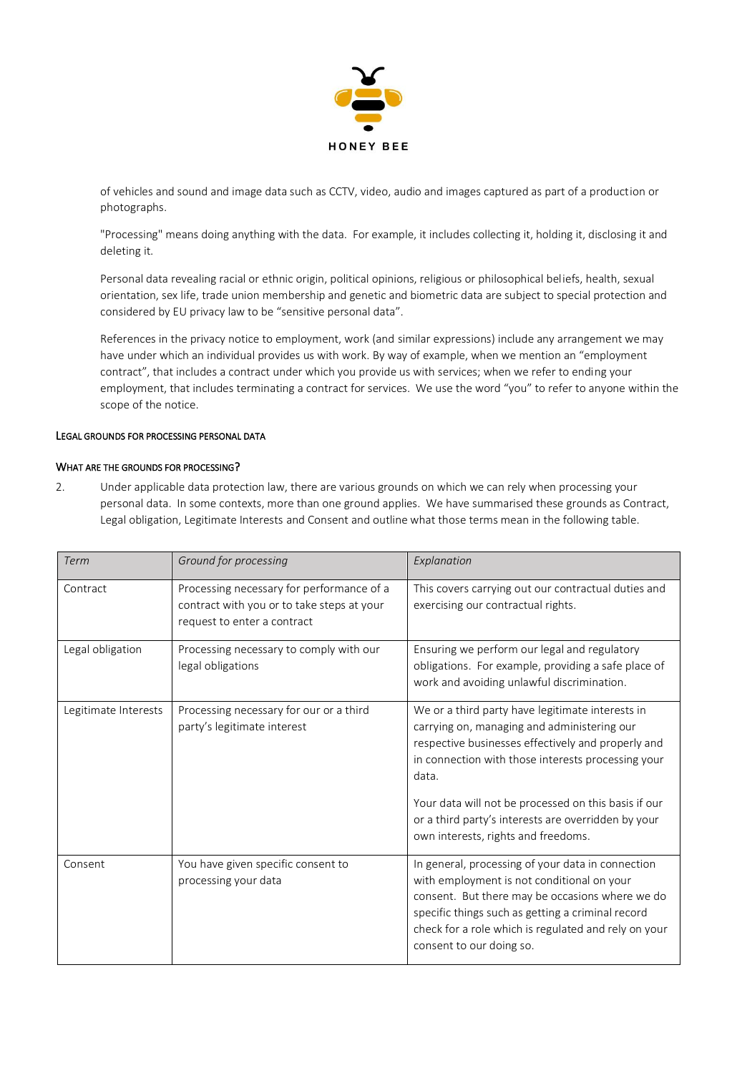

of vehicles and sound and image data such as CCTV, video, audio and images captured as part of a production or photographs.

"Processing" means doing anything with the data. For example, it includes collecting it, holding it, disclosing it and deleting it.

Personal data revealing racial or ethnic origin, political opinions, religious or philosophical beliefs, health, sexual orientation, sex life, trade union membership and genetic and biometric data are subject to special protection and considered by EU privacy law to be "sensitive personal data".

References in the privacy notice to employment, work (and similar expressions) include any arrangement we may have under which an individual provides us with work. By way of example, when we mention an "employment contract", that includes a contract under which you provide us with services; when we refer to ending your employment, that includes terminating a contract for services. We use the word "you" to refer to anyone within the scope of the notice.

# LEGAL GROUNDS FOR PROCESSING PERSONAL DATA

# WHAT ARE THE GROUNDS FOR PROCESSING?

2. Under applicable data protection law, there are various grounds on which we can rely when processing your personal data. In some contexts, more than one ground applies. We have summarised these grounds as Contract, Legal obligation, Legitimate Interests and Consent and outline what those terms mean in the following table.

| Term                 | Ground for processing                                                                                                  | Explanation                                                                                                                                                                                                                                                                                                                         |
|----------------------|------------------------------------------------------------------------------------------------------------------------|-------------------------------------------------------------------------------------------------------------------------------------------------------------------------------------------------------------------------------------------------------------------------------------------------------------------------------------|
| Contract             | Processing necessary for performance of a<br>contract with you or to take steps at your<br>request to enter a contract | This covers carrying out our contractual duties and<br>exercising our contractual rights.                                                                                                                                                                                                                                           |
| Legal obligation     | Processing necessary to comply with our<br>legal obligations                                                           | Ensuring we perform our legal and regulatory<br>obligations. For example, providing a safe place of<br>work and avoiding unlawful discrimination.                                                                                                                                                                                   |
| Legitimate Interests | Processing necessary for our or a third<br>party's legitimate interest                                                 | We or a third party have legitimate interests in<br>carrying on, managing and administering our<br>respective businesses effectively and properly and<br>in connection with those interests processing your<br>data.<br>Your data will not be processed on this basis if our<br>or a third party's interests are overridden by your |
|                      |                                                                                                                        | own interests, rights and freedoms.                                                                                                                                                                                                                                                                                                 |
| Consent              | You have given specific consent to<br>processing your data                                                             | In general, processing of your data in connection<br>with employment is not conditional on your<br>consent. But there may be occasions where we do<br>specific things such as getting a criminal record<br>check for a role which is regulated and rely on your<br>consent to our doing so.                                         |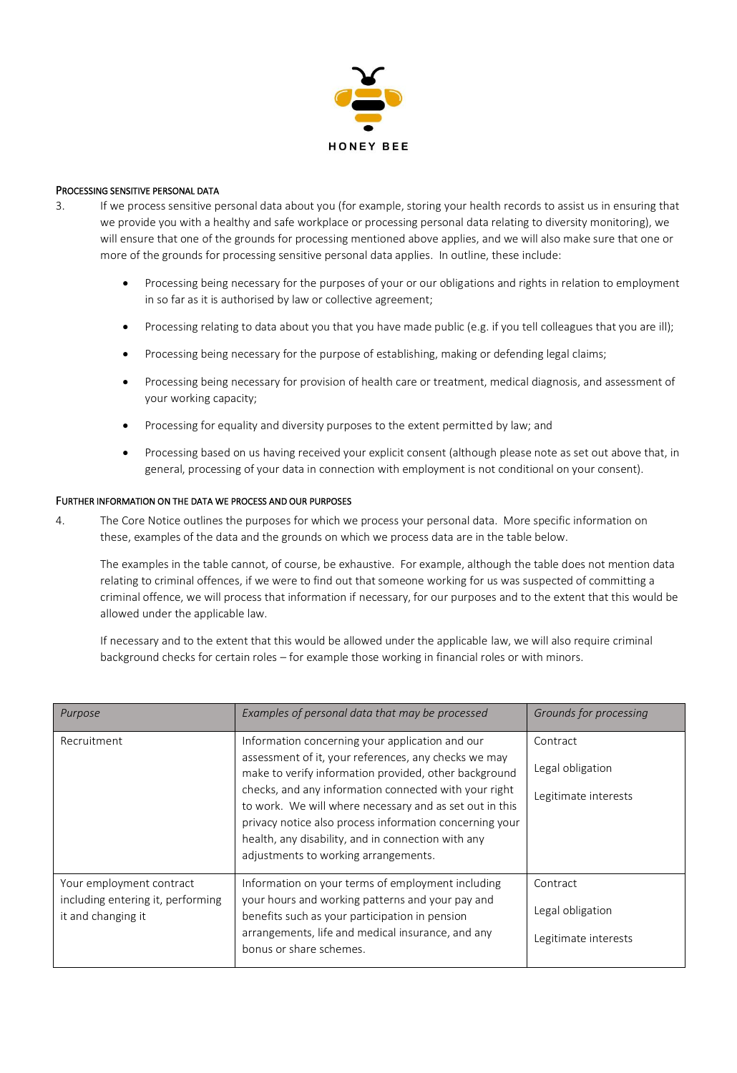

# PROCESSING SENSITIVE PERSONAL DATA

- 3. If we process sensitive personal data about you (for example, storing your health records to assist us in ensuring that we provide you with a healthy and safe workplace or processing personal data relating to diversity monitoring), we will ensure that one of the grounds for processing mentioned above applies, and we will also make sure that one or more of the grounds for processing sensitive personal data applies. In outline, these include:
	- Processing being necessary for the purposes of your or our obligations and rights in relation to employment in so far as it is authorised by law or collective agreement;
	- Processing relating to data about you that you have made public (e.g. if you tell colleagues that you are ill);
	- Processing being necessary for the purpose of establishing, making or defending legal claims;
	- Processing being necessary for provision of health care or treatment, medical diagnosis, and assessment of your working capacity;
	- Processing for equality and diversity purposes to the extent permitted by law; and
	- Processing based on us having received your explicit consent (although please note as set out above that, in general, processing of your data in connection with employment is not conditional on your consent).

# FURTHER INFORMATION ON THE DATA WE PROCESS AND OUR PURPOSES

4. The Core Notice outlines the purposes for which we process your personal data. More specific information on these, examples of the data and the grounds on which we process data are in the table below.

The examples in the table cannot, of course, be exhaustive. For example, although the table does not mention data relating to criminal offences, if we were to find out that someone working for us was suspected of committing a criminal offence, we will process that information if necessary, for our purposes and to the extent that this would be allowed under the applicable law.

If necessary and to the extent that this would be allowed under the applicable law, we will also require criminal background checks for certain roles – for example those working in financial roles or with minors.

| Purpose                                                                             | Examples of personal data that may be processed                                                                                                                                                                                                                                                                                                                                                                                               | Grounds for processing                               |
|-------------------------------------------------------------------------------------|-----------------------------------------------------------------------------------------------------------------------------------------------------------------------------------------------------------------------------------------------------------------------------------------------------------------------------------------------------------------------------------------------------------------------------------------------|------------------------------------------------------|
| Recruitment                                                                         | Information concerning your application and our<br>assessment of it, your references, any checks we may<br>make to verify information provided, other background<br>checks, and any information connected with your right<br>to work. We will where necessary and as set out in this<br>privacy notice also process information concerning your<br>health, any disability, and in connection with any<br>adjustments to working arrangements. | Contract<br>Legal obligation<br>Legitimate interests |
| Your employment contract<br>including entering it, performing<br>it and changing it | Information on your terms of employment including<br>your hours and working patterns and your pay and<br>benefits such as your participation in pension<br>arrangements, life and medical insurance, and any<br>bonus or share schemes.                                                                                                                                                                                                       | Contract<br>Legal obligation<br>Legitimate interests |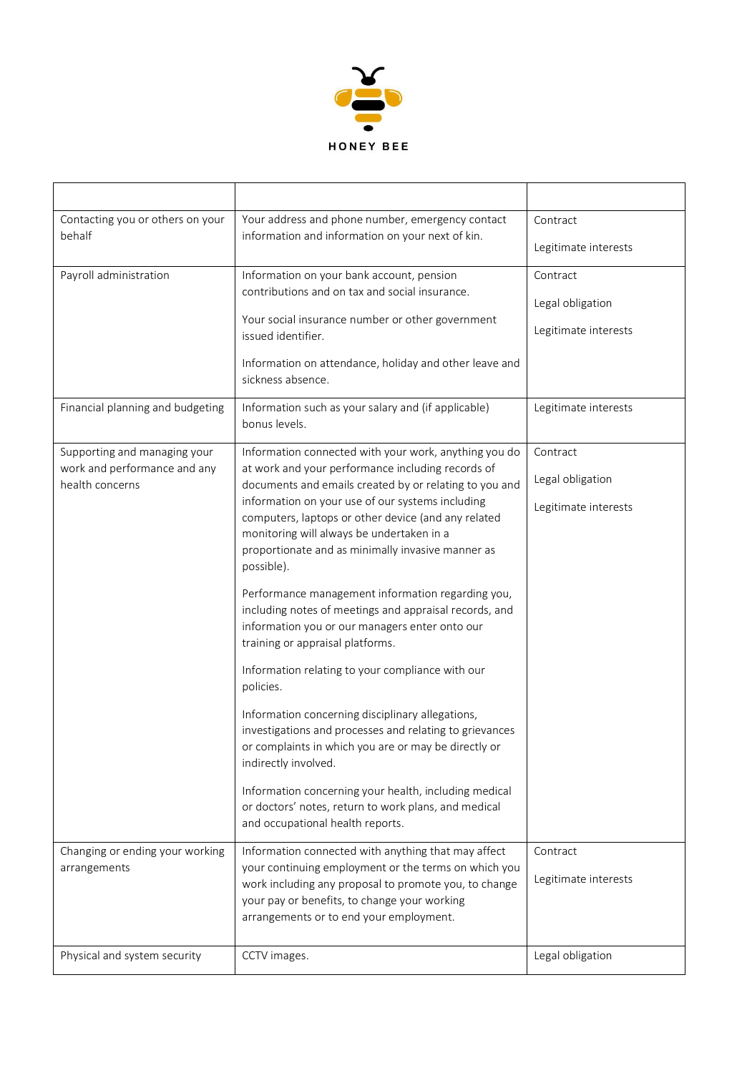

| Contacting you or others on your                | Your address and phone number, emergency contact                                                                                                                                                                        | Contract             |
|-------------------------------------------------|-------------------------------------------------------------------------------------------------------------------------------------------------------------------------------------------------------------------------|----------------------|
| behalf                                          | information and information on your next of kin.                                                                                                                                                                        | Legitimate interests |
| Payroll administration                          | Information on your bank account, pension                                                                                                                                                                               | Contract             |
|                                                 | contributions and on tax and social insurance.                                                                                                                                                                          | Legal obligation     |
|                                                 | Your social insurance number or other government<br>issued identifier.                                                                                                                                                  | Legitimate interests |
|                                                 | Information on attendance, holiday and other leave and<br>sickness absence.                                                                                                                                             |                      |
| Financial planning and budgeting                | Information such as your salary and (if applicable)<br>bonus levels.                                                                                                                                                    | Legitimate interests |
| Supporting and managing your                    | Information connected with your work, anything you do                                                                                                                                                                   | Contract             |
| work and performance and any<br>health concerns | at work and your performance including records of<br>documents and emails created by or relating to you and                                                                                                             | Legal obligation     |
|                                                 | information on your use of our systems including<br>computers, laptops or other device (and any related<br>monitoring will always be undertaken in a<br>proportionate and as minimally invasive manner as<br>possible). | Legitimate interests |
|                                                 | Performance management information regarding you,<br>including notes of meetings and appraisal records, and<br>information you or our managers enter onto our<br>training or appraisal platforms.                       |                      |
|                                                 | Information relating to your compliance with our<br>policies.                                                                                                                                                           |                      |
|                                                 | Information concerning disciplinary allegations,<br>investigations and processes and relating to grievances<br>or complaints in which you are or may be directly or<br>indirectly involved.                             |                      |
|                                                 | Information concerning your health, including medical<br>or doctors' notes, return to work plans, and medical<br>and occupational health reports.                                                                       |                      |
| Changing or ending your working                 | Information connected with anything that may affect                                                                                                                                                                     | Contract             |
| arrangements                                    | your continuing employment or the terms on which you<br>work including any proposal to promote you, to change<br>your pay or benefits, to change your working<br>arrangements or to end your employment.                | Legitimate interests |
| Physical and system security                    | CCTV images.                                                                                                                                                                                                            | Legal obligation     |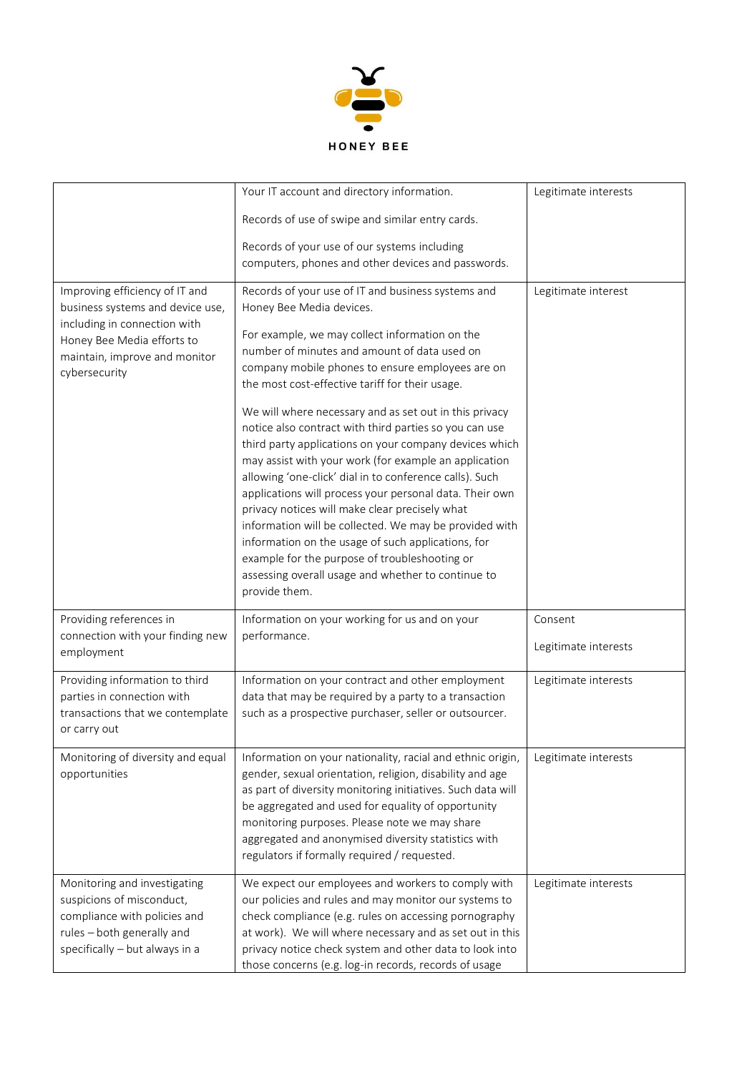

|                                                                                                                                                                                    | Your IT account and directory information.                                                                                                                                                                                                                                                                                                                                                                                                                                                                                                                                                | Legitimate interests            |
|------------------------------------------------------------------------------------------------------------------------------------------------------------------------------------|-------------------------------------------------------------------------------------------------------------------------------------------------------------------------------------------------------------------------------------------------------------------------------------------------------------------------------------------------------------------------------------------------------------------------------------------------------------------------------------------------------------------------------------------------------------------------------------------|---------------------------------|
|                                                                                                                                                                                    | Records of use of swipe and similar entry cards.                                                                                                                                                                                                                                                                                                                                                                                                                                                                                                                                          |                                 |
|                                                                                                                                                                                    | Records of your use of our systems including                                                                                                                                                                                                                                                                                                                                                                                                                                                                                                                                              |                                 |
|                                                                                                                                                                                    | computers, phones and other devices and passwords.                                                                                                                                                                                                                                                                                                                                                                                                                                                                                                                                        |                                 |
| Improving efficiency of IT and<br>business systems and device use,<br>including in connection with<br>Honey Bee Media efforts to<br>maintain, improve and monitor<br>cybersecurity | Records of your use of IT and business systems and<br>Honey Bee Media devices.<br>For example, we may collect information on the<br>number of minutes and amount of data used on<br>company mobile phones to ensure employees are on<br>the most cost-effective tariff for their usage.<br>We will where necessary and as set out in this privacy                                                                                                                                                                                                                                         | Legitimate interest             |
|                                                                                                                                                                                    | notice also contract with third parties so you can use<br>third party applications on your company devices which<br>may assist with your work (for example an application<br>allowing 'one-click' dial in to conference calls). Such<br>applications will process your personal data. Their own<br>privacy notices will make clear precisely what<br>information will be collected. We may be provided with<br>information on the usage of such applications, for<br>example for the purpose of troubleshooting or<br>assessing overall usage and whether to continue to<br>provide them. |                                 |
| Providing references in<br>connection with your finding new<br>employment                                                                                                          | Information on your working for us and on your<br>performance.                                                                                                                                                                                                                                                                                                                                                                                                                                                                                                                            | Consent<br>Legitimate interests |
| Providing information to third<br>parties in connection with<br>transactions that we contemplate<br>or carry out                                                                   | Information on your contract and other employment<br>data that may be required by a party to a transaction<br>such as a prospective purchaser, seller or outsourcer.                                                                                                                                                                                                                                                                                                                                                                                                                      | Legitimate interests            |
| Monitoring of diversity and equal<br>opportunities                                                                                                                                 | Information on your nationality, racial and ethnic origin,<br>gender, sexual orientation, religion, disability and age<br>as part of diversity monitoring initiatives. Such data will<br>be aggregated and used for equality of opportunity<br>monitoring purposes. Please note we may share<br>aggregated and anonymised diversity statistics with<br>regulators if formally required / requested.                                                                                                                                                                                       | Legitimate interests            |
| Monitoring and investigating<br>suspicions of misconduct,<br>compliance with policies and<br>rules - both generally and<br>specifically - but always in a                          | We expect our employees and workers to comply with<br>our policies and rules and may monitor our systems to<br>check compliance (e.g. rules on accessing pornography<br>at work). We will where necessary and as set out in this<br>privacy notice check system and other data to look into<br>those concerns (e.g. log-in records, records of usage                                                                                                                                                                                                                                      | Legitimate interests            |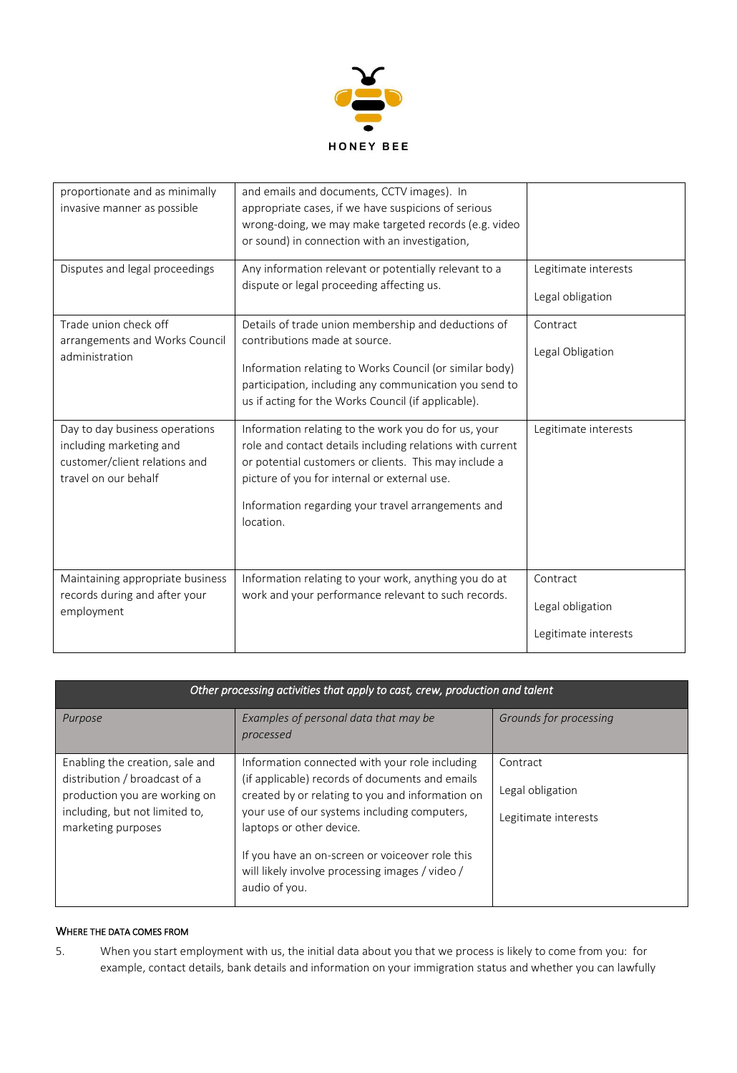

| proportionate and as minimally<br>invasive manner as possible                                                      | and emails and documents, CCTV images). In<br>appropriate cases, if we have suspicions of serious<br>wrong-doing, we may make targeted records (e.g. video<br>or sound) in connection with an investigation,                                                                                  |                                                      |
|--------------------------------------------------------------------------------------------------------------------|-----------------------------------------------------------------------------------------------------------------------------------------------------------------------------------------------------------------------------------------------------------------------------------------------|------------------------------------------------------|
| Disputes and legal proceedings                                                                                     | Any information relevant or potentially relevant to a<br>dispute or legal proceeding affecting us.                                                                                                                                                                                            | Legitimate interests<br>Legal obligation             |
| Trade union check off<br>arrangements and Works Council<br>administration                                          | Details of trade union membership and deductions of<br>contributions made at source.<br>Information relating to Works Council (or similar body)<br>participation, including any communication you send to<br>us if acting for the Works Council (if applicable).                              | Contract<br>Legal Obligation                         |
| Day to day business operations<br>including marketing and<br>customer/client relations and<br>travel on our behalf | Information relating to the work you do for us, your<br>role and contact details including relations with current<br>or potential customers or clients. This may include a<br>picture of you for internal or external use.<br>Information regarding your travel arrangements and<br>location. | Legitimate interests                                 |
| Maintaining appropriate business<br>records during and after your<br>employment                                    | Information relating to your work, anything you do at<br>work and your performance relevant to such records.                                                                                                                                                                                  | Contract<br>Legal obligation<br>Legitimate interests |

| Other processing activities that apply to cast, crew, production and talent                                                                               |                                                                                                                                                                                                                                                                                                                                                          |                                                      |
|-----------------------------------------------------------------------------------------------------------------------------------------------------------|----------------------------------------------------------------------------------------------------------------------------------------------------------------------------------------------------------------------------------------------------------------------------------------------------------------------------------------------------------|------------------------------------------------------|
| Purpose                                                                                                                                                   | Examples of personal data that may be<br>processed                                                                                                                                                                                                                                                                                                       | Grounds for processing                               |
| Enabling the creation, sale and<br>distribution / broadcast of a<br>production you are working on<br>including, but not limited to,<br>marketing purposes | Information connected with your role including<br>(if applicable) records of documents and emails<br>created by or relating to you and information on<br>your use of our systems including computers,<br>laptops or other device.<br>If you have an on-screen or voiceover role this<br>will likely involve processing images / video /<br>audio of you. | Contract<br>Legal obligation<br>Legitimate interests |

# WHERE THE DATA COMES FROM

5. When you start employment with us, the initial data about you that we process is likely to come from you: for example, contact details, bank details and information on your immigration status and whether you can lawfully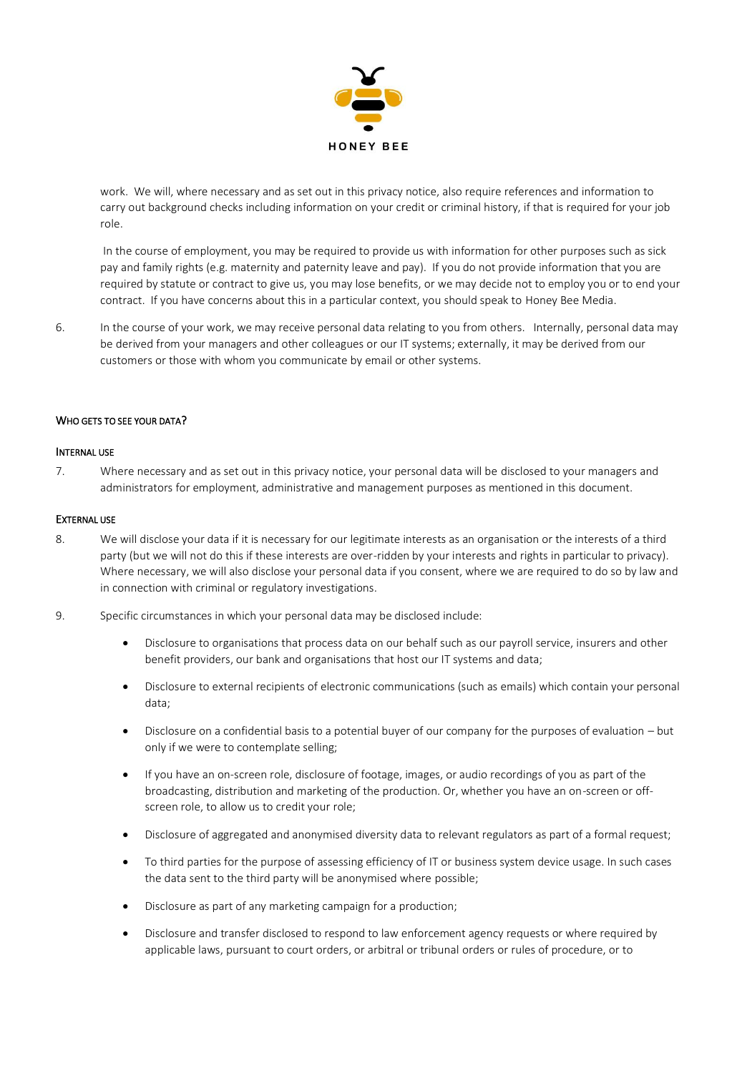

work. We will, where necessary and as set out in this privacy notice, also require references and information to carry out background checks including information on your credit or criminal history, if that is required for your job role.

In the course of employment, you may be required to provide us with information for other purposes such as sick pay and family rights (e.g. maternity and paternity leave and pay). If you do not provide information that you are required by statute or contract to give us, you may lose benefits, or we may decide not to employ you or to end your contract. If you have concerns about this in a particular context, you should speak to Honey Bee Media.

6. In the course of your work, we may receive personal data relating to you from others. Internally, personal data may be derived from your managers and other colleagues or our IT systems; externally, it may be derived from our customers or those with whom you communicate by email or other systems.

## WHO GETS TO SEE YOUR DATA?

## INTERNAL USE

7. Where necessary and as set out in this privacy notice, your personal data will be disclosed to your managers and administrators for employment, administrative and management purposes as mentioned in this document.

## EXTERNAL USE

- 8. We will disclose your data if it is necessary for our legitimate interests as an organisation or the interests of a third party (but we will not do this if these interests are over-ridden by your interests and rights in particular to privacy). Where necessary, we will also disclose your personal data if you consent, where we are required to do so by law and in connection with criminal or regulatory investigations.
- 9. Specific circumstances in which your personal data may be disclosed include:
	- Disclosure to organisations that process data on our behalf such as our payroll service, insurers and other benefit providers, our bank and organisations that host our IT systems and data;
	- Disclosure to external recipients of electronic communications (such as emails) which contain your personal data;
	- Disclosure on a confidential basis to a potential buyer of our company for the purposes of evaluation but only if we were to contemplate selling;
	- If you have an on-screen role, disclosure of footage, images, or audio recordings of you as part of the broadcasting, distribution and marketing of the production. Or, whether you have an on-screen or offscreen role, to allow us to credit your role;
	- Disclosure of aggregated and anonymised diversity data to relevant regulators as part of a formal request;
	- To third parties for the purpose of assessing efficiency of IT or business system device usage. In such cases the data sent to the third party will be anonymised where possible;
	- Disclosure as part of any marketing campaign for a production;
	- Disclosure and transfer disclosed to respond to law enforcement agency requests or where required by applicable laws, pursuant to court orders, or arbitral or tribunal orders or rules of procedure, or to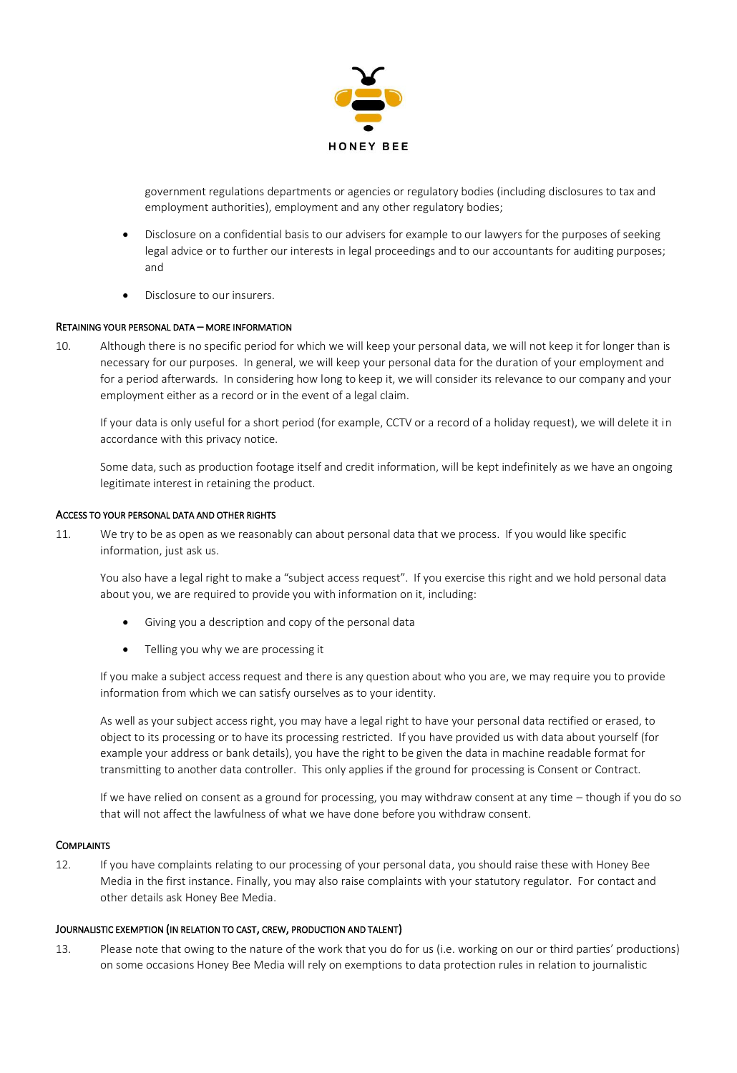

government regulations departments or agencies or regulatory bodies (including disclosures to tax and employment authorities), employment and any other regulatory bodies;

- Disclosure on a confidential basis to our advisers for example to our lawyers for the purposes of seeking legal advice or to further our interests in legal proceedings and to our accountants for auditing purposes; and
- Disclosure to our insurers.

# RETAINING YOUR PERSONAL DATA – MORE INFORMATION

10. Although there is no specific period for which we will keep your personal data, we will not keep it for longer than is necessary for our purposes. In general, we will keep your personal data for the duration of your employment and for a period afterwards. In considering how long to keep it, we will consider its relevance to our company and your employment either as a record or in the event of a legal claim.

If your data is only useful for a short period (for example, CCTV or a record of a holiday request), we will delete it in accordance with this privacy notice.

Some data, such as production footage itself and credit information, will be kept indefinitely as we have an ongoing legitimate interest in retaining the product.

## ACCESS TO YOUR PERSONAL DATA AND OTHER RIGHTS

11. We try to be as open as we reasonably can about personal data that we process. If you would like specific information, just ask us.

You also have a legal right to make a "subject access request". If you exercise this right and we hold personal data about you, we are required to provide you with information on it, including:

- Giving you a description and copy of the personal data
- Telling you why we are processing it

If you make a subject access request and there is any question about who you are, we may require you to provide information from which we can satisfy ourselves as to your identity.

As well as your subject access right, you may have a legal right to have your personal data rectified or erased, to object to its processing or to have its processing restricted. If you have provided us with data about yourself (for example your address or bank details), you have the right to be given the data in machine readable format for transmitting to another data controller. This only applies if the ground for processing is Consent or Contract.

If we have relied on consent as a ground for processing, you may withdraw consent at any time – though if you do so that will not affect the lawfulness of what we have done before you withdraw consent.

## **COMPLAINTS**

12. If you have complaints relating to our processing of your personal data, you should raise these with Honey Bee Media in the first instance. Finally, you may also raise complaints with your statutory regulator. For contact and other details ask Honey Bee Media.

## JOURNALISTIC EXEMPTION (IN RELATION TO CAST, CREW, PRODUCTION AND TALENT)

13. Please note that owing to the nature of the work that you do for us (i.e. working on our or third parties' productions) on some occasions Honey Bee Media will rely on exemptions to data protection rules in relation to journalistic